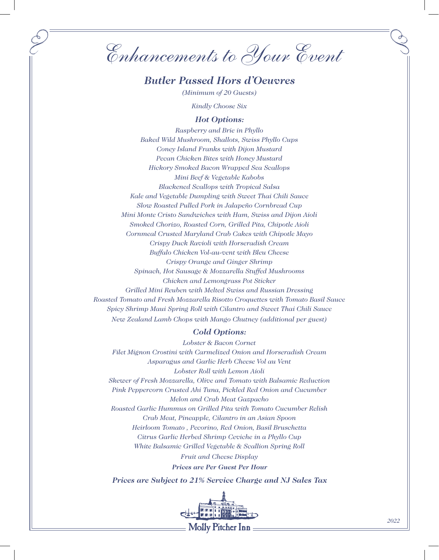*Enhancements to Your Event*

# *Butler Passed Hors d'Oeuvres*

*(Minimum of 20 Guests)*

*Kindly Choose Six* 

# *Hot Options:*

*Raspberry and Brie in Phyllo Baked Wild Mushroom, Shallots, Swiss Phyllo Cups Coney Island Franks with Dijon Mustard Pecan Chicken Bites with Honey Mustard Hickory Smoked Bacon Wrapped Sea Scallops Mini Beef & Vegetable Kabobs Blackened Scallops with Tropical Salsa Kale and Vegetable Dumpling with Sweet Thai Chili Sauce Slow Roasted Pulled Pork in Jalapeño Cornbread Cup Mini Monte Cristo Sandwiches with Ham, Swiss and Dijon Aioli Smoked Chorizo, Roasted Corn, Grilled Pita, Chipotle Aioli Cornmeal Crusted Maryland Crab Cakes with Chipotle Mayo Crispy Duck Ravioli with Horseradish Cream Buffalo Chicken Vol-au-vent with Bleu Cheese Crispy Orange and Ginger Shrimp Spinach, Hot Sausage & Mozzarella Stuffed Mushrooms Chicken and Lemongrass Pot Sticker Grilled Mini Reuben with Melted Swiss and Russian Dressing Roasted Tomato and Fresh Mozzarella Risotto Croquettes with Tomato Basil Sauce Spicy Shrimp Maui Spring Roll with Cilantro and Sweet Thai Chili Sauce New Zealand Lamb Chops with Mango Chutney (additional per guest)*

# *Cold Options:*

*Lobster & Bacon Cornet Filet Mignon Crostini with Carmelized Onion and Horseradish Cream Asparagus and Garlic Herb Cheese Vol au Vent Lobster Roll with Lemon Aioli Skewer of Fresh Mozzarella, Olive and Tomato with Balsamic Reduction Pink Peppercorn Crusted Ahi Tuna, Pickled Red Onion and Cucumber Melon and Crab Meat Gazpacho Roasted Garlic Hummus on Grilled Pita with Tomato Cucumber Relish Crab Meat, Pineapple, Cilantro in an Asian Spoon Heirloom Tomato , Pecorino, Red Onion, Basil Bruschetta Citrus Garlic Herbed Shrimp Ceviche in a Phyllo Cup White Balsamic Grilled Vegetable & Scallion Spring Roll Fruit and Cheese Display Prices are Per Guest Per Hour*

*Prices are Subject to 21% Service Charge and NJ Sales Tax*

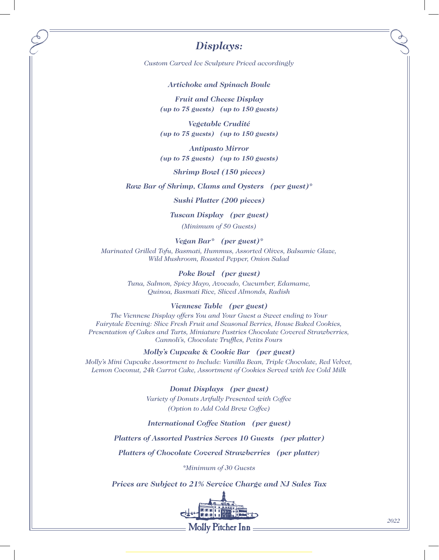# *Displays:*

*Custom Carved Ice Sculpture Priced accordingly*

#### *Artichoke and Spinach Boule*

*Fruit and Cheese Display (up to 75 guests) (up to 150 guests)*

*Vegetable Crudité (up to 75 guests) (up to 150 guests)*

*Antipasto Mirror (up to 75 guests) (up to 150 guests)*

*Shrimp Bowl (150 pieces)*

*Raw Bar of Shrimp, Clams and Oysters (per guest)\**

# *Sushi Platter (200 pieces)*

*Tuscan Display (per guest)*

*(Minimum of 50 Guests)*

*Vegan Bar\* (per guest)\* Marinated Grilled Tofu, Basmati, Hummus, Assorted Olives, Balsamic Glaze, Wild Mushroom, Roasted Pepper, Onion Salad*

## *Poke Bowl (per guest)*

*Tuna, Salmon, Spicy Mayo, Avocado, Cucumber, Edamame, Quinoa, Basmati Rice, Sliced Almonds, Radish*

## *Viennese Table (per guest)*

*The Viennese Display offers You and Your Guest a Sweet ending to Your Fairytale Evening: Slice Fresh Fruit and Seasonal Berries, House Baked Cookies, Presentation of Cakes and Tarts, Miniature Pastries Chocolate Covered Strawberries, Cannoli's, Chocolate Truffles, Petits Fours*

*Molly's Cupcake & Cookie Bar (per guest)*

*Molly's Mini Cupcake Assortment to Include: Vanilla Bean, Triple Chocolate, Red Velvet, Lemon Coconut, 24k Carrot Cake, Assortment of Cookies Served with Ice Cold Milk*

> *Donut Displays (per guest) Variety of Donuts Artfully Presented with Coffee (Option to Add Cold Brew Coffee)*

### *International Coffee Station (per guest)*

## *Platters of Assorted Pastries Serves 10 Guests (per platter)*

*Platters of Chocolate Covered Strawberries (per platter)*

*\*Minimum of 30 Guests*

*Prices are Subject to 21% Service Charge and NJ Sales Tax*